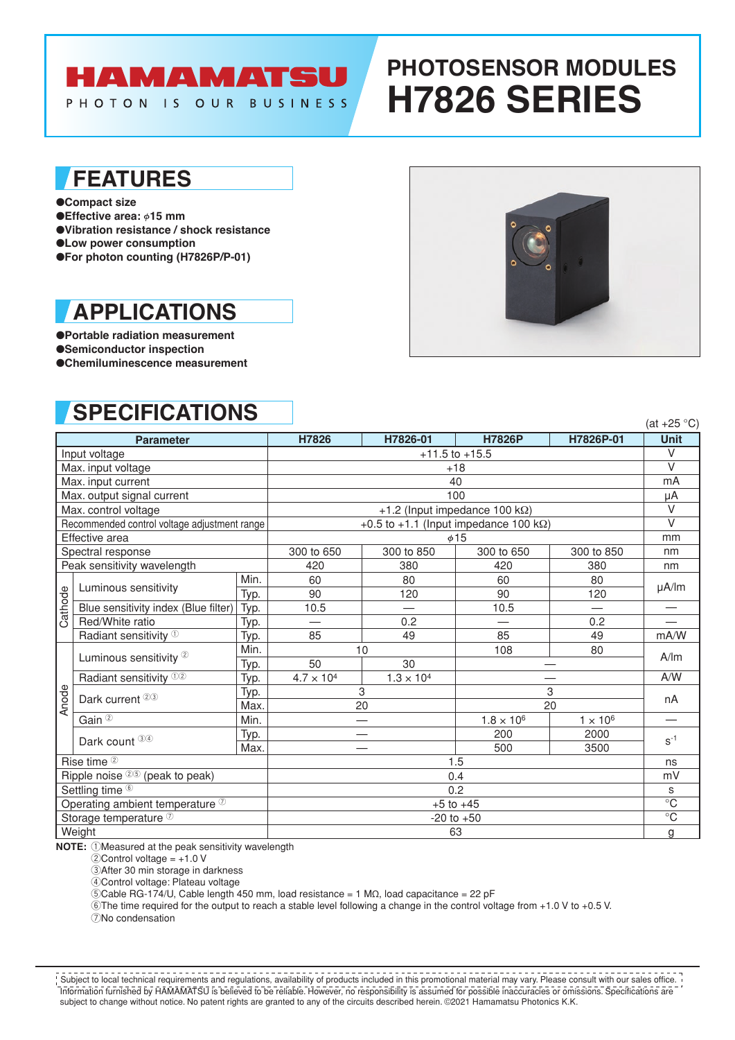# **HAMAMATSU**

PHOTON IS OUR BUSINESS

# **PHOTOSENSOR MODULES H7826 SERIES**

### **FEATURES**

●**Compact size**

- ●**Effective area:**  $\phi$ **15 mm**
- ●**Vibration resistance / shock resistance**
- ●**Low power consumption**
- ●**For photon counting (H7826P/P-01)**

## **APPLICATIONS**

●**Portable radiation measurement** ●**Semiconductor inspection** ●**Chemiluminescence measurement**



(at  $+25$  °C)

## **SPECIFICATIONS**

| <b>Parameter</b>                             |      | H7826                                          | H7826-01            | <b>H7826P</b>       | H7826P-01       | $\alpha$ $ \sigma$ $\sigma$<br><b>Unit</b> |  |
|----------------------------------------------|------|------------------------------------------------|---------------------|---------------------|-----------------|--------------------------------------------|--|
| Input voltage                                |      | $+11.5$ to $+15.5$                             |                     |                     |                 | $\vee$                                     |  |
| Max. input voltage                           |      | $+18$                                          |                     |                     |                 | $\vee$                                     |  |
| Max. input current                           |      | 40                                             |                     |                     |                 | mA                                         |  |
| Max. output signal current                   |      | 100                                            |                     |                     |                 | μA                                         |  |
| Max. control voltage                         |      | +1.2 (Input impedance 100 kΩ)                  |                     |                     |                 | $\vee$                                     |  |
| Recommended control voltage adjustment range |      | +0.5 to +1.1 (Input impedance 100 k $\Omega$ ) |                     |                     |                 | $\vee$                                     |  |
| Effective area                               |      | $\phi$ 15                                      |                     |                     |                 | mm                                         |  |
| Spectral response                            |      | 300 to 650                                     | 300 to 850          | 300 to 650          | 300 to 850      | nm                                         |  |
| Peak sensitivity wavelength                  |      | 420                                            | 380                 | 420                 | 380             | nm                                         |  |
| Luminous sensitivity<br>Cathode              | Min. | 60                                             | 80                  | 60                  | 80              | µA/lm                                      |  |
|                                              | Typ. | 90                                             | 120                 | 90                  | 120             |                                            |  |
| Blue sensitivity index (Blue filter)         | Typ. | 10.5                                           |                     | 10.5                |                 |                                            |  |
| Red/White ratio                              | Typ. | —                                              | 0.2                 |                     | 0.2             |                                            |  |
| Radiant sensitivity <sup>1</sup>             | Typ. | 85                                             | 49                  | 85                  | 49              | mA/W                                       |  |
| Luminous sensitivity <sup>2</sup>            | Min. | 10                                             |                     | 108                 | 80              | A/m                                        |  |
|                                              | Typ. | 50                                             | 30                  |                     |                 |                                            |  |
| Radiant sensitivity <sup>12</sup>            | Typ. | $4.7 \times 10^{4}$                            | $1.3 \times 10^{4}$ |                     |                 | A/W                                        |  |
| Dark current <sup>23</sup>                   | Typ. | 3                                              |                     | 3                   |                 | nA                                         |  |
| Anode                                        | Max. | 20                                             |                     | 20                  |                 |                                            |  |
| Gain $\overline{2}$                          | Min. |                                                |                     | $1.8 \times 10^{6}$ | $1 \times 10^6$ |                                            |  |
| Dark count 34                                | Typ. |                                                |                     | 200                 | 2000            | $S^{-1}$                                   |  |
|                                              | Max. |                                                |                     | 500                 | 3500            |                                            |  |
| Rise time 2                                  |      | 1.5                                            |                     |                     |                 | ns                                         |  |
| Ripple noise 25 (peak to peak)               |      | 0.4                                            |                     |                     |                 | mV                                         |  |
| Settling time <sup>6</sup>                   |      | 0.2                                            |                     |                     |                 | s                                          |  |
| Operating ambient temperature <sup>7</sup>   |      | $+5$ to $+45$                                  |                     |                     |                 | $\overline{C}$                             |  |
| Storage temperature 2                        |      | $-20$ to $+50$                                 |                     |                     |                 | $\overline{C}$                             |  |
| Weight                                       | 63   |                                                |                     |                     | g               |                                            |  |

**NOTE:** 1Measured at the peak sensitivity wavelength

 $2$ Control voltage =  $+1.0$  V

3After 30 min storage in darkness

4Control voltage: Plateau voltage

5Cable RG-174/U, Cable length 450 mm, load resistance = 1 MΩ, load capacitance = 22 pF

6The time required for the output to reach a stable level following a change in the control voltage from +1.0 V to +0.5 V.

7No condensation

Information furnished by HAMAMATSU is believed to be reliable. However, no responsibility is assumed for possible inaccuracies or omissions. Specifications are subject to change without notice. No patent rights are granted to any of the circuits described herein. ©2021 Hamamatsu Photonics K.K. Subject to local technical requirements and regulations, availability of products included in this promotional material may vary. Please consult with our sales office.